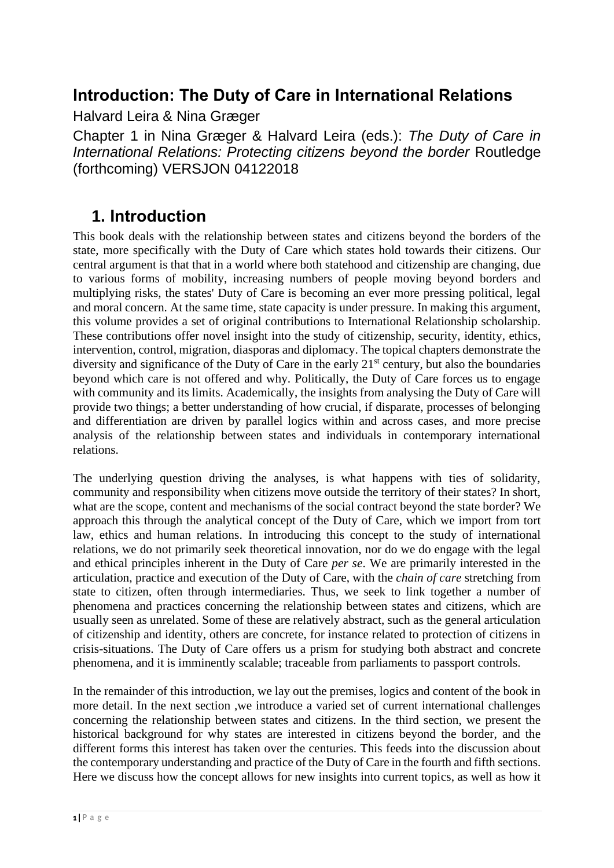### **Introduction: The Duty of Care in International Relations**

Halvard Leira & Nina Græger

Chapter 1 in Nina Græger & Halvard Leira (eds.): *The Duty of Care in International Relations: Protecting citizens beyond the border* Routledge (forthcoming) VERSJON 04122018

### **1. Introduction**

This book deals with the relationship between states and citizens beyond the borders of the state, more specifically with the Duty of Care which states hold towards their citizens. Our central argument is that that in a world where both statehood and citizenship are changing, due to various forms of mobility, increasing numbers of people moving beyond borders and multiplying risks, the states' Duty of Care is becoming an ever more pressing political, legal and moral concern. At the same time, state capacity is under pressure. In making this argument, this volume provides a set of original contributions to International Relationship scholarship. These contributions offer novel insight into the study of citizenship, security, identity, ethics, intervention, control, migration, diasporas and diplomacy. The topical chapters demonstrate the diversity and significance of the Duty of Care in the early  $21<sup>st</sup>$  century, but also the boundaries beyond which care is not offered and why. Politically, the Duty of Care forces us to engage with community and its limits. Academically, the insights from analysing the Duty of Care will provide two things; a better understanding of how crucial, if disparate, processes of belonging and differentiation are driven by parallel logics within and across cases, and more precise analysis of the relationship between states and individuals in contemporary international relations.

The underlying question driving the analyses, is what happens with ties of solidarity, community and responsibility when citizens move outside the territory of their states? In short, what are the scope, content and mechanisms of the social contract beyond the state border? We approach this through the analytical concept of the Duty of Care, which we import from tort law, ethics and human relations. In introducing this concept to the study of international relations, we do not primarily seek theoretical innovation, nor do we do engage with the legal and ethical principles inherent in the Duty of Care *per se*. We are primarily interested in the articulation, practice and execution of the Duty of Care, with the *chain of care* stretching from state to citizen, often through intermediaries. Thus, we seek to link together a number of phenomena and practices concerning the relationship between states and citizens, which are usually seen as unrelated. Some of these are relatively abstract, such as the general articulation of citizenship and identity, others are concrete, for instance related to protection of citizens in crisis-situations. The Duty of Care offers us a prism for studying both abstract and concrete phenomena, and it is imminently scalable; traceable from parliaments to passport controls.

In the remainder of this introduction, we lay out the premises, logics and content of the book in more detail. In the next section ,we introduce a varied set of current international challenges concerning the relationship between states and citizens. In the third section, we present the historical background for why states are interested in citizens beyond the border, and the different forms this interest has taken over the centuries. This feeds into the discussion about the contemporary understanding and practice of the Duty of Care in the fourth and fifth sections. Here we discuss how the concept allows for new insights into current topics, as well as how it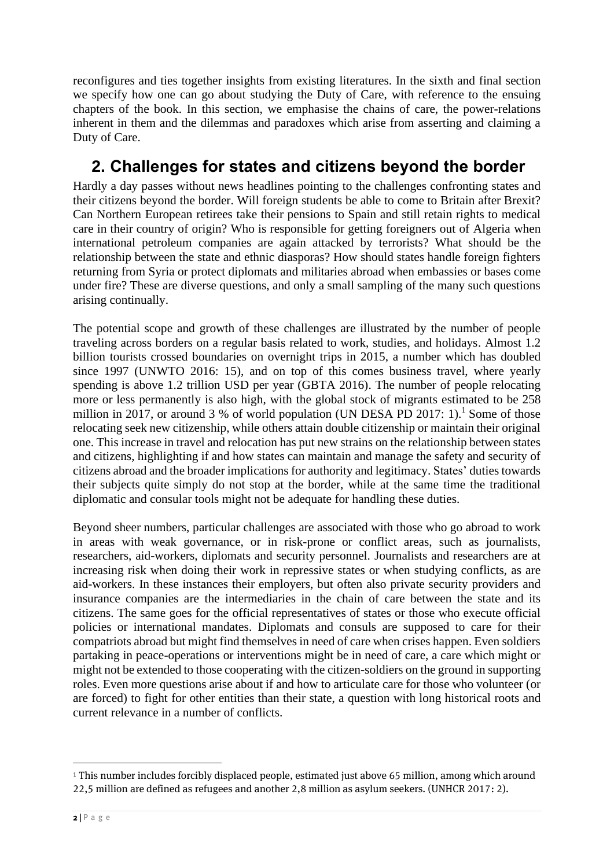reconfigures and ties together insights from existing literatures. In the sixth and final section we specify how one can go about studying the Duty of Care, with reference to the ensuing chapters of the book. In this section, we emphasise the chains of care, the power-relations inherent in them and the dilemmas and paradoxes which arise from asserting and claiming a Duty of Care.

## **2. Challenges for states and citizens beyond the border**

Hardly a day passes without news headlines pointing to the challenges confronting states and their citizens beyond the border. Will foreign students be able to come to Britain after Brexit? Can Northern European retirees take their pensions to Spain and still retain rights to medical care in their country of origin? Who is responsible for getting foreigners out of Algeria when international petroleum companies are again attacked by terrorists? What should be the relationship between the state and ethnic diasporas? How should states handle foreign fighters returning from Syria or protect diplomats and militaries abroad when embassies or bases come under fire? These are diverse questions, and only a small sampling of the many such questions arising continually.

The potential scope and growth of these challenges are illustrated by the number of people traveling across borders on a regular basis related to work, studies, and holidays. Almost 1.2 billion tourists crossed boundaries on overnight trips in 2015, a number which has doubled since 1997 (UNWTO 2016: 15), and on top of this comes business travel, where yearly spending is above 1.2 trillion USD per year (GBTA 2016). The number of people relocating more or less permanently is also high, with the global stock of migrants estimated to be 258 million in 2017, or around 3 % of world population (UN DESA PD 2017: 1).<sup>1</sup> Some of those relocating seek new citizenship, while others attain double citizenship or maintain their original one. This increase in travel and relocation has put new strains on the relationship between states and citizens, highlighting if and how states can maintain and manage the safety and security of citizens abroad and the broader implications for authority and legitimacy. States' duties towards their subjects quite simply do not stop at the border, while at the same time the traditional diplomatic and consular tools might not be adequate for handling these duties.

Beyond sheer numbers, particular challenges are associated with those who go abroad to work in areas with weak governance, or in risk-prone or conflict areas, such as journalists, researchers, aid-workers, diplomats and security personnel. Journalists and researchers are at increasing risk when doing their work in repressive states or when studying conflicts, as are aid-workers. In these instances their employers, but often also private security providers and insurance companies are the intermediaries in the chain of care between the state and its citizens. The same goes for the official representatives of states or those who execute official policies or international mandates. Diplomats and consuls are supposed to care for their compatriots abroad but might find themselves in need of care when crises happen. Even soldiers partaking in peace-operations or interventions might be in need of care, a care which might or might not be extended to those cooperating with the citizen-soldiers on the ground in supporting roles. Even more questions arise about if and how to articulate care for those who volunteer (or are forced) to fight for other entities than their state, a question with long historical roots and current relevance in a number of conflicts.

<sup>1</sup> This number includes forcibly displaced people, estimated just above 65 million, among which around 22,5 million are defined as refugees and another 2,8 million as asylum seekers. (UNHCR 2017: 2).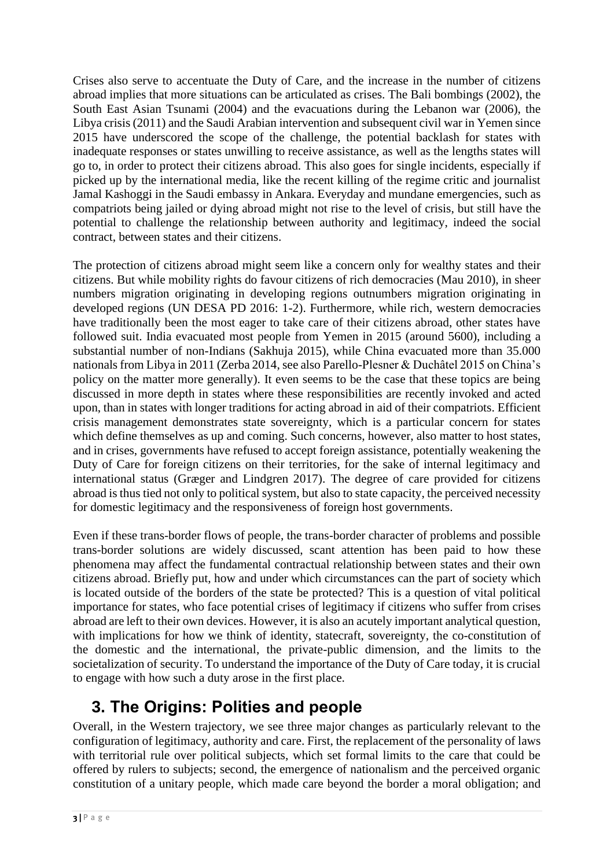Crises also serve to accentuate the Duty of Care, and the increase in the number of citizens abroad implies that more situations can be articulated as crises. The Bali bombings (2002), the South East Asian Tsunami (2004) and the evacuations during the Lebanon war (2006), the Libya crisis (2011) and the Saudi Arabian intervention and subsequent civil war in Yemen since 2015 have underscored the scope of the challenge, the potential backlash for states with inadequate responses or states unwilling to receive assistance, as well as the lengths states will go to, in order to protect their citizens abroad. This also goes for single incidents, especially if picked up by the international media, like the recent killing of the regime critic and journalist Jamal Kashoggi in the Saudi embassy in Ankara. Everyday and mundane emergencies, such as compatriots being jailed or dying abroad might not rise to the level of crisis, but still have the potential to challenge the relationship between authority and legitimacy, indeed the social contract, between states and their citizens.

The protection of citizens abroad might seem like a concern only for wealthy states and their citizens. But while mobility rights do favour citizens of rich democracies (Mau 2010), in sheer numbers migration originating in developing regions outnumbers migration originating in developed regions (UN DESA PD 2016: 1-2). Furthermore, while rich, western democracies have traditionally been the most eager to take care of their citizens abroad, other states have followed suit. India evacuated most people from Yemen in 2015 (around 5600), including a substantial number of non-Indians (Sakhuja 2015), while China evacuated more than 35.000 nationals from Libya in 2011 (Zerba 2014, see also Parello-Plesner & Duchâtel 2015 on China's policy on the matter more generally). It even seems to be the case that these topics are being discussed in more depth in states where these responsibilities are recently invoked and acted upon, than in states with longer traditions for acting abroad in aid of their compatriots. Efficient crisis management demonstrates state sovereignty, which is a particular concern for states which define themselves as up and coming. Such concerns, however, also matter to host states, and in crises, governments have refused to accept foreign assistance, potentially weakening the Duty of Care for foreign citizens on their territories, for the sake of internal legitimacy and international status (Græger and Lindgren 2017). The degree of care provided for citizens abroad is thus tied not only to political system, but also to state capacity, the perceived necessity for domestic legitimacy and the responsiveness of foreign host governments.

Even if these trans-border flows of people, the trans-border character of problems and possible trans-border solutions are widely discussed, scant attention has been paid to how these phenomena may affect the fundamental contractual relationship between states and their own citizens abroad. Briefly put, how and under which circumstances can the part of society which is located outside of the borders of the state be protected? This is a question of vital political importance for states, who face potential crises of legitimacy if citizens who suffer from crises abroad are left to their own devices. However, it is also an acutely important analytical question, with implications for how we think of identity, statecraft, sovereignty, the co-constitution of the domestic and the international, the private-public dimension, and the limits to the societalization of security. To understand the importance of the Duty of Care today, it is crucial to engage with how such a duty arose in the first place.

## **3. The Origins: Polities and people**

Overall, in the Western trajectory, we see three major changes as particularly relevant to the configuration of legitimacy, authority and care. First, the replacement of the personality of laws with territorial rule over political subjects, which set formal limits to the care that could be offered by rulers to subjects; second, the emergence of nationalism and the perceived organic constitution of a unitary people, which made care beyond the border a moral obligation; and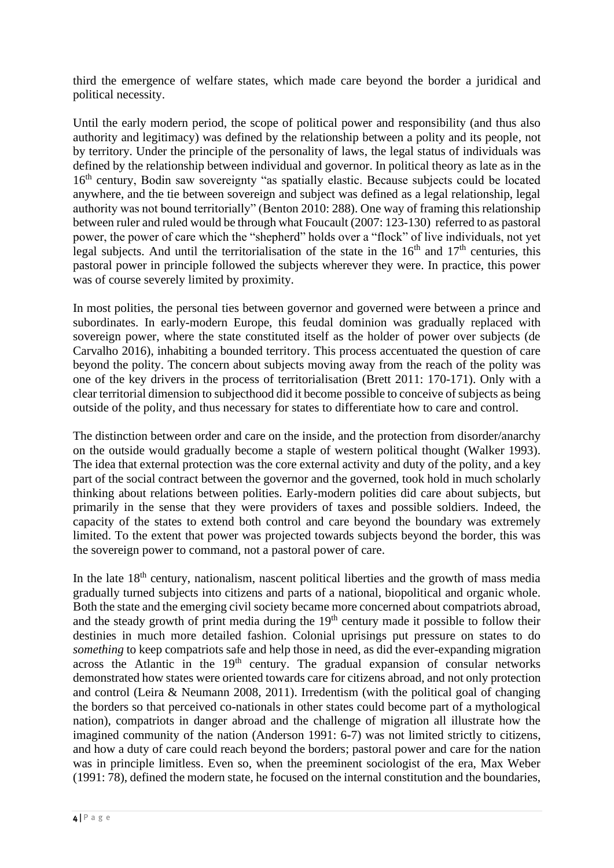third the emergence of welfare states, which made care beyond the border a juridical and political necessity.

Until the early modern period, the scope of political power and responsibility (and thus also authority and legitimacy) was defined by the relationship between a polity and its people, not by territory. Under the principle of the personality of laws, the legal status of individuals was defined by the relationship between individual and governor. In political theory as late as in the 16<sup>th</sup> century, Bodin saw sovereignty "as spatially elastic. Because subjects could be located anywhere, and the tie between sovereign and subject was defined as a legal relationship, legal authority was not bound territorially" (Benton 2010: 288). One way of framing this relationship between ruler and ruled would be through what Foucault (2007: 123-130) referred to as pastoral power, the power of care which the "shepherd" holds over a "flock" of live individuals, not yet legal subjects. And until the territorialisation of the state in the  $16<sup>th</sup>$  and  $17<sup>th</sup>$  centuries, this pastoral power in principle followed the subjects wherever they were. In practice, this power was of course severely limited by proximity.

In most polities, the personal ties between governor and governed were between a prince and subordinates. In early-modern Europe, this feudal dominion was gradually replaced with sovereign power, where the state constituted itself as the holder of power over subjects (de Carvalho 2016), inhabiting a bounded territory. This process accentuated the question of care beyond the polity. The concern about subjects moving away from the reach of the polity was one of the key drivers in the process of territorialisation (Brett 2011: 170-171). Only with a clear territorial dimension to subjecthood did it become possible to conceive of subjects as being outside of the polity, and thus necessary for states to differentiate how to care and control.

The distinction between order and care on the inside, and the protection from disorder/anarchy on the outside would gradually become a staple of western political thought (Walker 1993). The idea that external protection was the core external activity and duty of the polity, and a key part of the social contract between the governor and the governed, took hold in much scholarly thinking about relations between polities. Early-modern polities did care about subjects, but primarily in the sense that they were providers of taxes and possible soldiers. Indeed, the capacity of the states to extend both control and care beyond the boundary was extremely limited. To the extent that power was projected towards subjects beyond the border, this was the sovereign power to command, not a pastoral power of care.

In the late  $18<sup>th</sup>$  century, nationalism, nascent political liberties and the growth of mass media gradually turned subjects into citizens and parts of a national, biopolitical and organic whole. Both the state and the emerging civil society became more concerned about compatriots abroad, and the steady growth of print media during the  $19<sup>th</sup>$  century made it possible to follow their destinies in much more detailed fashion. Colonial uprisings put pressure on states to do *something* to keep compatriots safe and help those in need, as did the ever-expanding migration across the Atlantic in the  $19<sup>th</sup>$  century. The gradual expansion of consular networks demonstrated how states were oriented towards care for citizens abroad, and not only protection and control (Leira & Neumann 2008, 2011). Irredentism (with the political goal of changing the borders so that perceived co-nationals in other states could become part of a mythological nation), compatriots in danger abroad and the challenge of migration all illustrate how the imagined community of the nation (Anderson 1991: 6-7) was not limited strictly to citizens, and how a duty of care could reach beyond the borders; pastoral power and care for the nation was in principle limitless. Even so, when the preeminent sociologist of the era, Max Weber (1991: 78), defined the modern state, he focused on the internal constitution and the boundaries,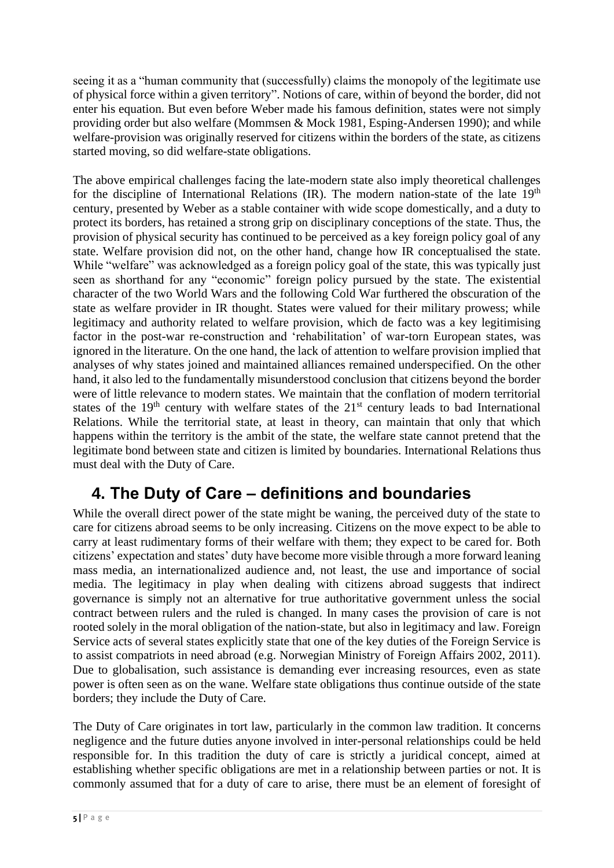seeing it as a "human community that (successfully) claims the monopoly of the legitimate use of physical force within a given territory". Notions of care, within of beyond the border, did not enter his equation. But even before Weber made his famous definition, states were not simply providing order but also welfare (Mommsen & Mock 1981, Esping-Andersen 1990); and while welfare-provision was originally reserved for citizens within the borders of the state, as citizens started moving, so did welfare-state obligations.

The above empirical challenges facing the late-modern state also imply theoretical challenges for the discipline of International Relations (IR). The modern nation-state of the late  $19<sup>th</sup>$ century, presented by Weber as a stable container with wide scope domestically, and a duty to protect its borders, has retained a strong grip on disciplinary conceptions of the state. Thus, the provision of physical security has continued to be perceived as a key foreign policy goal of any state. Welfare provision did not, on the other hand, change how IR conceptualised the state. While "welfare" was acknowledged as a foreign policy goal of the state, this was typically just seen as shorthand for any "economic" foreign policy pursued by the state. The existential character of the two World Wars and the following Cold War furthered the obscuration of the state as welfare provider in IR thought. States were valued for their military prowess; while legitimacy and authority related to welfare provision, which de facto was a key legitimising factor in the post-war re-construction and 'rehabilitation' of war-torn European states, was ignored in the literature. On the one hand, the lack of attention to welfare provision implied that analyses of why states joined and maintained alliances remained underspecified. On the other hand, it also led to the fundamentally misunderstood conclusion that citizens beyond the border were of little relevance to modern states. We maintain that the conflation of modern territorial states of the  $19<sup>th</sup>$  century with welfare states of the  $21<sup>st</sup>$  century leads to bad International Relations. While the territorial state, at least in theory, can maintain that only that which happens within the territory is the ambit of the state, the welfare state cannot pretend that the legitimate bond between state and citizen is limited by boundaries. International Relations thus must deal with the Duty of Care.

# **4. The Duty of Care – definitions and boundaries**

While the overall direct power of the state might be waning, the perceived duty of the state to care for citizens abroad seems to be only increasing. Citizens on the move expect to be able to carry at least rudimentary forms of their welfare with them; they expect to be cared for. Both citizens' expectation and states' duty have become more visible through a more forward leaning mass media, an internationalized audience and, not least, the use and importance of social media. The legitimacy in play when dealing with citizens abroad suggests that indirect governance is simply not an alternative for true authoritative government unless the social contract between rulers and the ruled is changed. In many cases the provision of care is not rooted solely in the moral obligation of the nation-state, but also in legitimacy and law. Foreign Service acts of several states explicitly state that one of the key duties of the Foreign Service is to assist compatriots in need abroad (e.g. Norwegian Ministry of Foreign Affairs 2002, 2011). Due to globalisation, such assistance is demanding ever increasing resources, even as state power is often seen as on the wane. Welfare state obligations thus continue outside of the state borders; they include the Duty of Care.

The Duty of Care originates in tort law, particularly in the common law tradition. It concerns negligence and the future duties anyone involved in inter-personal relationships could be held responsible for. In this tradition the duty of care is strictly a juridical concept, aimed at establishing whether specific obligations are met in a relationship between parties or not. It is commonly assumed that for a duty of care to arise, there must be an element of foresight of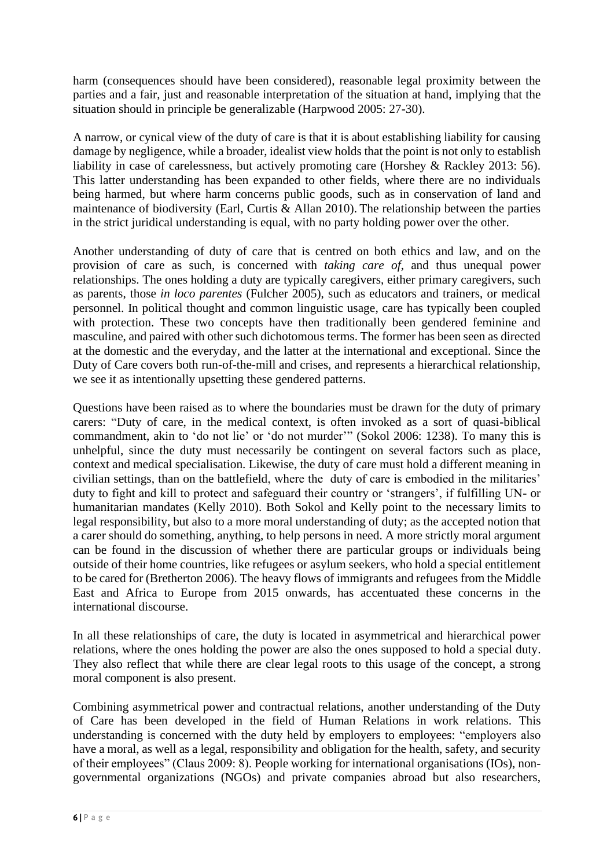harm (consequences should have been considered), reasonable legal proximity between the parties and a fair, just and reasonable interpretation of the situation at hand, implying that the situation should in principle be generalizable (Harpwood 2005: 27-30).

A narrow, or cynical view of the duty of care is that it is about establishing liability for causing damage by negligence, while a broader, idealist view holds that the point is not only to establish liability in case of carelessness, but actively promoting care (Horshey & Rackley 2013: 56). This latter understanding has been expanded to other fields, where there are no individuals being harmed, but where harm concerns public goods, such as in conservation of land and maintenance of biodiversity (Earl, Curtis & Allan 2010). The relationship between the parties in the strict juridical understanding is equal, with no party holding power over the other.

Another understanding of duty of care that is centred on both ethics and law, and on the provision of care as such, is concerned with *taking care of*, and thus unequal power relationships. The ones holding a duty are typically caregivers, either primary caregivers, such as parents, those *in loco parentes* (Fulcher 2005), such as educators and trainers, or medical personnel. In political thought and common linguistic usage, care has typically been coupled with protection. These two concepts have then traditionally been gendered feminine and masculine, and paired with other such dichotomous terms. The former has been seen as directed at the domestic and the everyday, and the latter at the international and exceptional. Since the Duty of Care covers both run-of-the-mill and crises, and represents a hierarchical relationship, we see it as intentionally upsetting these gendered patterns.

Questions have been raised as to where the boundaries must be drawn for the duty of primary carers: "Duty of care, in the medical context, is often invoked as a sort of quasi-biblical commandment, akin to 'do not lie' or 'do not murder'" (Sokol 2006: 1238). To many this is unhelpful, since the duty must necessarily be contingent on several factors such as place, context and medical specialisation. Likewise, the duty of care must hold a different meaning in civilian settings, than on the battlefield, where the duty of care is embodied in the militaries' duty to fight and kill to protect and safeguard their country or 'strangers', if fulfilling UN- or humanitarian mandates (Kelly 2010). Both Sokol and Kelly point to the necessary limits to legal responsibility, but also to a more moral understanding of duty; as the accepted notion that a carer should do something, anything, to help persons in need. A more strictly moral argument can be found in the discussion of whether there are particular groups or individuals being outside of their home countries, like refugees or asylum seekers, who hold a special entitlement to be cared for (Bretherton 2006). The heavy flows of immigrants and refugees from the Middle East and Africa to Europe from 2015 onwards, has accentuated these concerns in the international discourse.

In all these relationships of care, the duty is located in asymmetrical and hierarchical power relations, where the ones holding the power are also the ones supposed to hold a special duty. They also reflect that while there are clear legal roots to this usage of the concept, a strong moral component is also present.

Combining asymmetrical power and contractual relations, another understanding of the Duty of Care has been developed in the field of Human Relations in work relations. This understanding is concerned with the duty held by employers to employees: "employers also have a moral, as well as a legal, responsibility and obligation for the health, safety, and security of their employees" (Claus 2009: 8). People working for international organisations (IOs), nongovernmental organizations (NGOs) and private companies abroad but also researchers,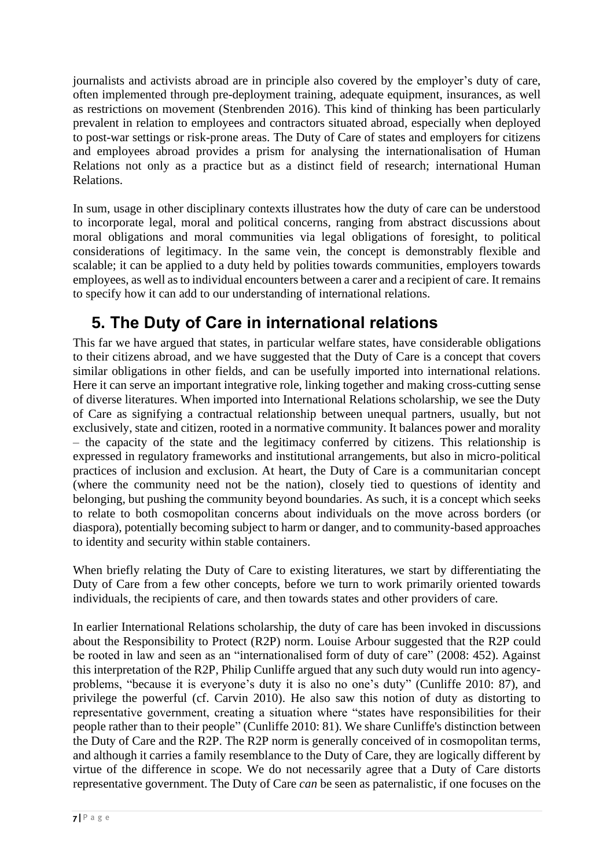journalists and activists abroad are in principle also covered by the employer's duty of care, often implemented through pre-deployment training, adequate equipment, insurances, as well as restrictions on movement (Stenbrenden 2016). This kind of thinking has been particularly prevalent in relation to employees and contractors situated abroad, especially when deployed to post-war settings or risk-prone areas. The Duty of Care of states and employers for citizens and employees abroad provides a prism for analysing the internationalisation of Human Relations not only as a practice but as a distinct field of research; international Human Relations.

In sum, usage in other disciplinary contexts illustrates how the duty of care can be understood to incorporate legal, moral and political concerns, ranging from abstract discussions about moral obligations and moral communities via legal obligations of foresight, to political considerations of legitimacy. In the same vein, the concept is demonstrably flexible and scalable; it can be applied to a duty held by polities towards communities, employers towards employees, as well as to individual encounters between a carer and a recipient of care. It remains to specify how it can add to our understanding of international relations.

# **5. The Duty of Care in international relations**

This far we have argued that states, in particular welfare states, have considerable obligations to their citizens abroad, and we have suggested that the Duty of Care is a concept that covers similar obligations in other fields, and can be usefully imported into international relations. Here it can serve an important integrative role, linking together and making cross-cutting sense of diverse literatures. When imported into International Relations scholarship, we see the Duty of Care as signifying a contractual relationship between unequal partners, usually, but not exclusively, state and citizen, rooted in a normative community. It balances power and morality – the capacity of the state and the legitimacy conferred by citizens. This relationship is expressed in regulatory frameworks and institutional arrangements, but also in micro-political practices of inclusion and exclusion. At heart, the Duty of Care is a communitarian concept (where the community need not be the nation), closely tied to questions of identity and belonging, but pushing the community beyond boundaries. As such, it is a concept which seeks to relate to both cosmopolitan concerns about individuals on the move across borders (or diaspora), potentially becoming subject to harm or danger, and to community-based approaches to identity and security within stable containers.

When briefly relating the Duty of Care to existing literatures, we start by differentiating the Duty of Care from a few other concepts, before we turn to work primarily oriented towards individuals, the recipients of care, and then towards states and other providers of care.

In earlier International Relations scholarship, the duty of care has been invoked in discussions about the Responsibility to Protect (R2P) norm. Louise Arbour suggested that the R2P could be rooted in law and seen as an "internationalised form of duty of care" (2008: 452). Against this interpretation of the R2P, Philip Cunliffe argued that any such duty would run into agencyproblems, "because it is everyone's duty it is also no one's duty" (Cunliffe 2010: 87), and privilege the powerful (cf. Carvin 2010). He also saw this notion of duty as distorting to representative government, creating a situation where "states have responsibilities for their people rather than to their people" (Cunliffe 2010: 81). We share Cunliffe's distinction between the Duty of Care and the R2P. The R2P norm is generally conceived of in cosmopolitan terms, and although it carries a family resemblance to the Duty of Care, they are logically different by virtue of the difference in scope. We do not necessarily agree that a Duty of Care distorts representative government. The Duty of Care *can* be seen as paternalistic, if one focuses on the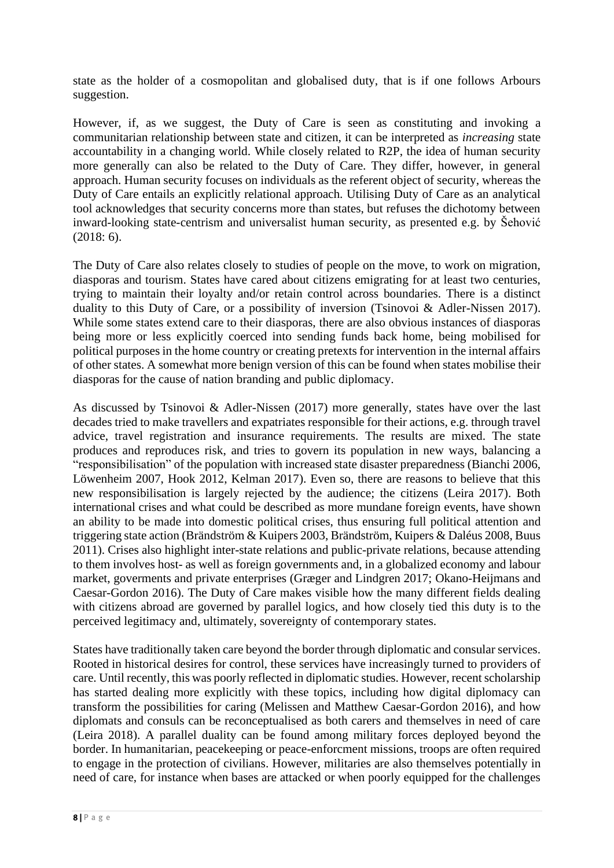state as the holder of a cosmopolitan and globalised duty, that is if one follows Arbours suggestion.

However, if, as we suggest, the Duty of Care is seen as constituting and invoking a communitarian relationship between state and citizen, it can be interpreted as *increasing* state accountability in a changing world. While closely related to R2P, the idea of human security more generally can also be related to the Duty of Care. They differ, however, in general approach. Human security focuses on individuals as the referent object of security, whereas the Duty of Care entails an explicitly relational approach. Utilising Duty of Care as an analytical tool acknowledges that security concerns more than states, but refuses the dichotomy between inward-looking state-centrism and universalist human security, as presented e.g. by Šehović (2018: 6).

The Duty of Care also relates closely to studies of people on the move, to work on migration, diasporas and tourism. States have cared about citizens emigrating for at least two centuries, trying to maintain their loyalty and/or retain control across boundaries. There is a distinct duality to this Duty of Care, or a possibility of inversion (Tsinovoi & Adler-Nissen 2017). While some states extend care to their diasporas, there are also obvious instances of diasporas being more or less explicitly coerced into sending funds back home, being mobilised for political purposes in the home country or creating pretexts for intervention in the internal affairs of other states. A somewhat more benign version of this can be found when states mobilise their diasporas for the cause of nation branding and public diplomacy.

As discussed by Tsinovoi & Adler-Nissen (2017) more generally, states have over the last decades tried to make travellers and expatriates responsible for their actions, e.g. through travel advice, travel registration and insurance requirements. The results are mixed. The state produces and reproduces risk, and tries to govern its population in new ways, balancing a "responsibilisation" of the population with increased state disaster preparedness (Bianchi 2006, Löwenheim 2007, Hook 2012, Kelman 2017). Even so, there are reasons to believe that this new responsibilisation is largely rejected by the audience; the citizens (Leira 2017). Both international crises and what could be described as more mundane foreign events, have shown an ability to be made into domestic political crises, thus ensuring full political attention and triggering state action (Brändström & Kuipers 2003, Brändström, Kuipers & Daléus 2008, Buus 2011). Crises also highlight inter-state relations and public-private relations, because attending to them involves host- as well as foreign governments and, in a globalized economy and labour market, goverments and private enterprises (Græger and Lindgren 2017; Okano-Heijmans and Caesar-Gordon 2016). The Duty of Care makes visible how the many different fields dealing with citizens abroad are governed by parallel logics, and how closely tied this duty is to the perceived legitimacy and, ultimately, sovereignty of contemporary states.

States have traditionally taken care beyond the border through diplomatic and consular services. Rooted in historical desires for control, these services have increasingly turned to providers of care. Until recently, this was poorly reflected in diplomatic studies. However, recent scholarship has started dealing more explicitly with these topics, including how digital diplomacy can transform the possibilities for caring (Melissen and Matthew Caesar-Gordon 2016), and how diplomats and consuls can be reconceptualised as both carers and themselves in need of care (Leira 2018). A parallel duality can be found among military forces deployed beyond the border. In humanitarian, peacekeeping or peace-enforcment missions, troops are often required to engage in the protection of civilians. However, militaries are also themselves potentially in need of care, for instance when bases are attacked or when poorly equipped for the challenges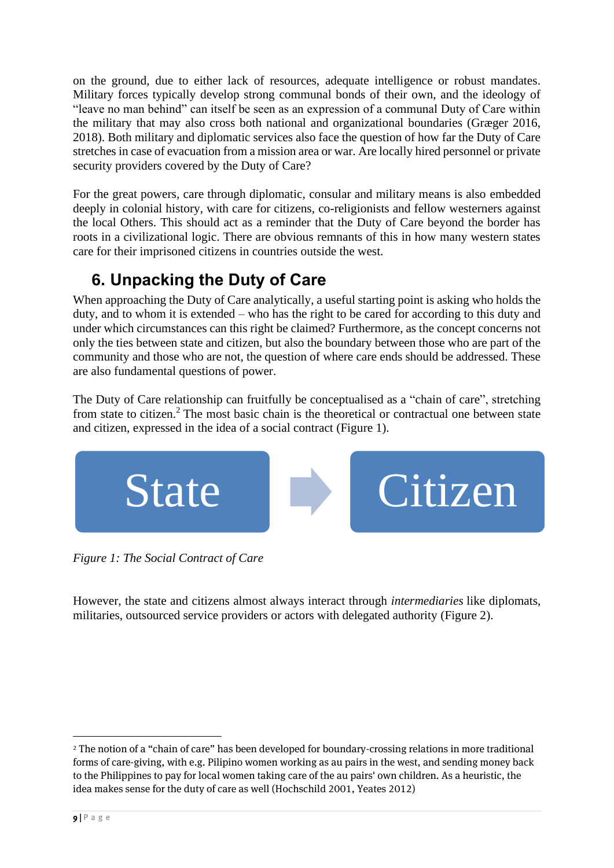on the ground, due to either lack of resources, adequate intelligence or robust mandates. Military forces typically develop strong communal bonds of their own, and the ideology of "leave no man behind" can itself be seen as an expression of a communal Duty of Care within the military that may also cross both national and organizational boundaries (Græger 2016, 2018). Both military and diplomatic services also face the question of how far the Duty of Care stretches in case of evacuation from a mission area or war. Are locally hired personnel or private security providers covered by the Duty of Care?

For the great powers, care through diplomatic, consular and military means is also embedded deeply in colonial history, with care for citizens, co-religionists and fellow westerners against the local Others. This should act as a reminder that the Duty of Care beyond the border has roots in a civilizational logic. There are obvious remnants of this in how many western states care for their imprisoned citizens in countries outside the west.

# **6. Unpacking the Duty of Care**

When approaching the Duty of Care analytically, a useful starting point is asking who holds the duty, and to whom it is extended – who has the right to be cared for according to this duty and under which circumstances can this right be claimed? Furthermore, as the concept concerns not only the ties between state and citizen, but also the boundary between those who are part of the community and those who are not, the question of where care ends should be addressed. These are also fundamental questions of power.

The Duty of Care relationship can fruitfully be conceptualised as a "chain of care", stretching from state to citizen. <sup>2</sup> The most basic chain is the theoretical or contractual one between state and citizen, expressed in the idea of a social contract (Figure 1).



*Figure 1: The Social Contract of Care*

However, the state and citizens almost always interact through *intermediaries* like diplomats, militaries, outsourced service providers or actors with delegated authority (Figure 2).

<sup>2</sup> The notion of a "chain of care" has been developed for boundary-crossing relations in more traditional forms of care-giving, with e.g. Pilipino women working as au pairs in the west, and sending money back to the Philippines to pay for local women taking care of the au pairs' own children. As a heuristic, the idea makes sense for the duty of care as well (Hochschild 2001, Yeates 2012)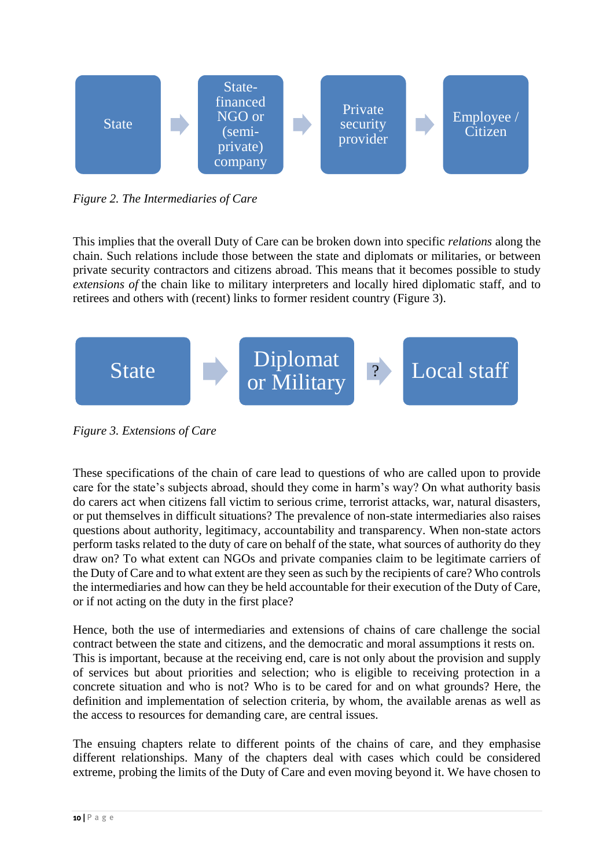

*Figure 2. The Intermediaries of Care*

This implies that the overall Duty of Care can be broken down into specific *relations* along the chain. Such relations include those between the state and diplomats or militaries, or between private security contractors and citizens abroad. This means that it becomes possible to study *extensions of* the chain like to military interpreters and locally hired diplomatic staff, and to retirees and others with (recent) links to former resident country (Figure 3).



*Figure 3. Extensions of Care*

These specifications of the chain of care lead to questions of who are called upon to provide care for the state's subjects abroad, should they come in harm's way? On what authority basis do carers act when citizens fall victim to serious crime, terrorist attacks, war, natural disasters, or put themselves in difficult situations? The prevalence of non-state intermediaries also raises questions about authority, legitimacy, accountability and transparency. When non-state actors perform tasks related to the duty of care on behalf of the state, what sources of authority do they draw on? To what extent can NGOs and private companies claim to be legitimate carriers of the Duty of Care and to what extent are they seen as such by the recipients of care? Who controls the intermediaries and how can they be held accountable for their execution of the Duty of Care, or if not acting on the duty in the first place?

Hence, both the use of intermediaries and extensions of chains of care challenge the social contract between the state and citizens, and the democratic and moral assumptions it rests on. This is important, because at the receiving end, care is not only about the provision and supply of services but about priorities and selection; who is eligible to receiving protection in a concrete situation and who is not? Who is to be cared for and on what grounds? Here, the definition and implementation of selection criteria, by whom, the available arenas as well as the access to resources for demanding care, are central issues.

The ensuing chapters relate to different points of the chains of care, and they emphasise different relationships. Many of the chapters deal with cases which could be considered extreme, probing the limits of the Duty of Care and even moving beyond it. We have chosen to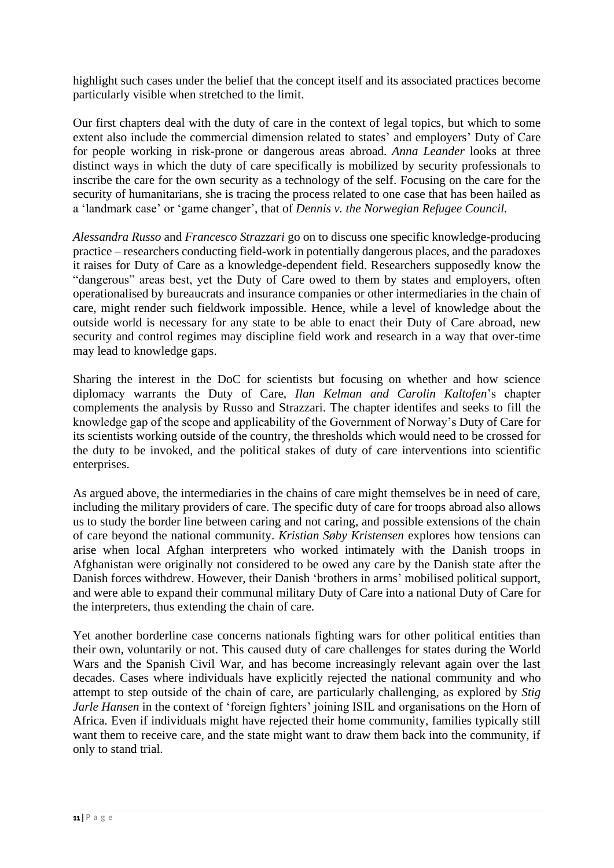highlight such cases under the belief that the concept itself and its associated practices become particularly visible when stretched to the limit.

Our first chapters deal with the duty of care in the context of legal topics, but which to some extent also include the commercial dimension related to states' and employers' Duty of Care for people working in risk-prone or dangerous areas abroad. *Anna Leander* looks at three distinct ways in which the duty of care specifically is mobilized by security professionals to inscribe the care for the own security as a technology of the self. Focusing on the care for the security of humanitarians, she is tracing the process related to one case that has been hailed as a 'landmark case' or 'game changer', that of *Dennis v. the Norwegian Refugee Council.*

*Alessandra Russo* and *Francesco Strazzari* go on to discuss one specific knowledge-producing practice – researchers conducting field-work in potentially dangerous places, and the paradoxes it raises for Duty of Care as a knowledge-dependent field. Researchers supposedly know the "dangerous" areas best, yet the Duty of Care owed to them by states and employers, often operationalised by bureaucrats and insurance companies or other intermediaries in the chain of care, might render such fieldwork impossible. Hence, while a level of knowledge about the outside world is necessary for any state to be able to enact their Duty of Care abroad, new security and control regimes may discipline field work and research in a way that over-time may lead to knowledge gaps.

Sharing the interest in the DoC for scientists but focusing on whether and how science diplomacy warrants the Duty of Care, *Ilan Kelman and Carolin Kaltofen*'s chapter complements the analysis by Russo and Strazzari. The chapter identifes and seeks to fill the knowledge gap of the scope and applicability of the Government of Norway's Duty of Care for its scientists working outside of the country, the thresholds which would need to be crossed for the duty to be invoked, and the political stakes of duty of care interventions into scientific enterprises.

As argued above, the intermediaries in the chains of care might themselves be in need of care, including the military providers of care. The specific duty of care for troops abroad also allows us to study the border line between caring and not caring, and possible extensions of the chain of care beyond the national community. *Kristian Søby Kristensen* explores how tensions can arise when local Afghan interpreters who worked intimately with the Danish troops in Afghanistan were originally not considered to be owed any care by the Danish state after the Danish forces withdrew. However, their Danish 'brothers in arms' mobilised political support, and were able to expand their communal military Duty of Care into a national Duty of Care for the interpreters, thus extending the chain of care.

Yet another borderline case concerns nationals fighting wars for other political entities than their own, voluntarily or not. This caused duty of care challenges for states during the World Wars and the Spanish Civil War, and has become increasingly relevant again over the last decades. Cases where individuals have explicitly rejected the national community and who attempt to step outside of the chain of care, are particularly challenging, as explored by *Stig Jarle Hansen* in the context of 'foreign fighters' joining ISIL and organisations on the Horn of Africa. Even if individuals might have rejected their home community, families typically still want them to receive care, and the state might want to draw them back into the community, if only to stand trial.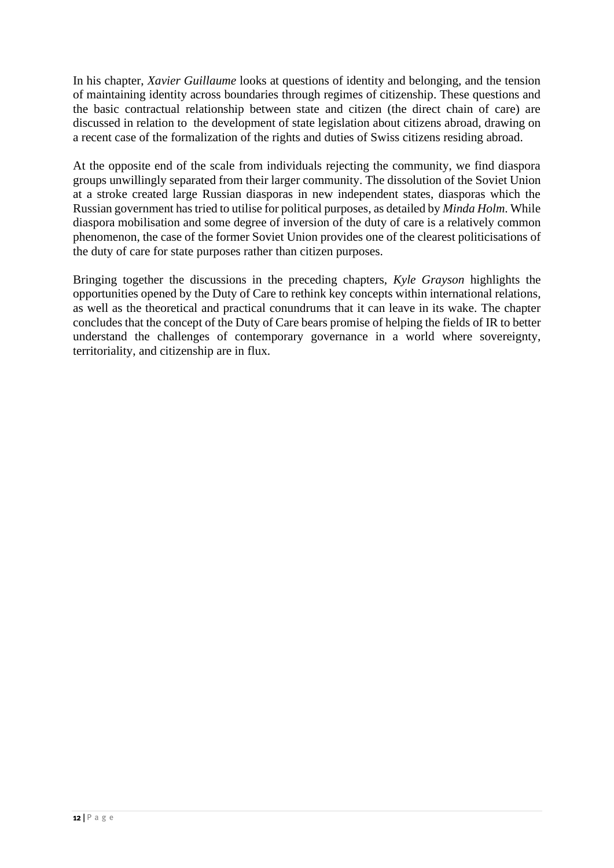In his chapter, *Xavier Guillaume* looks at questions of identity and belonging, and the tension of maintaining identity across boundaries through regimes of citizenship. These questions and the basic contractual relationship between state and citizen (the direct chain of care) are discussed in relation to the development of state legislation about citizens abroad, drawing on a recent case of the formalization of the rights and duties of Swiss citizens residing abroad.

At the opposite end of the scale from individuals rejecting the community, we find diaspora groups unwillingly separated from their larger community. The dissolution of the Soviet Union at a stroke created large Russian diasporas in new independent states, diasporas which the Russian government hastried to utilise for political purposes, as detailed by *Minda Holm*. While diaspora mobilisation and some degree of inversion of the duty of care is a relatively common phenomenon, the case of the former Soviet Union provides one of the clearest politicisations of the duty of care for state purposes rather than citizen purposes.

Bringing together the discussions in the preceding chapters, *Kyle Grayson* highlights the opportunities opened by the Duty of Care to rethink key concepts within international relations, as well as the theoretical and practical conundrums that it can leave in its wake. The chapter concludes that the concept of the Duty of Care bears promise of helping the fields of IR to better understand the challenges of contemporary governance in a world where sovereignty, territoriality, and citizenship are in flux.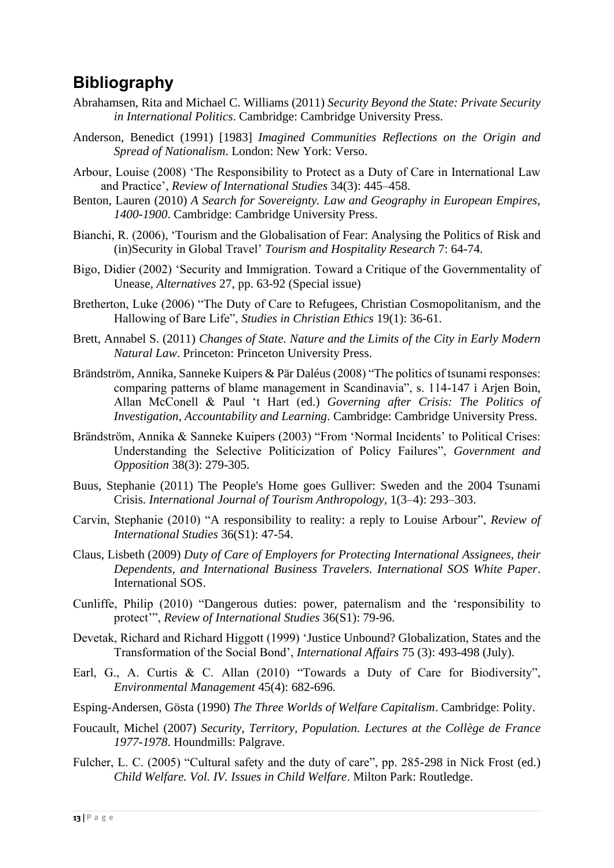## **Bibliography**

- Abrahamsen, Rita and Michael C. Williams (2011) *Security Beyond the State: Private Security in International Politics*. Cambridge: Cambridge University Press.
- Anderson, Benedict (1991) [1983] *Imagined Communities Reflections on the Origin and Spread of Nationalism*. London: New York: Verso.
- Arbour, Louise (2008) 'The Responsibility to Protect as a Duty of Care in International Law and Practice', *Review of International Studies* 34(3): 445–458.
- Benton, Lauren (2010) *A Search for Sovereignty. Law and Geography in European Empires, 1400-1900*. Cambridge: Cambridge University Press.
- Bianchi, R. (2006), 'Tourism and the Globalisation of Fear: Analysing the Politics of Risk and (in)Security in Global Travel' *Tourism and Hospitality Research* 7: 64-74.
- Bigo, Didier (2002) 'Security and Immigration. Toward a Critique of the Governmentality of Unease*, Alternatives* 27, pp. 63-92 (Special issue)
- Bretherton, Luke (2006) "The Duty of Care to Refugees, Christian Cosmopolitanism, and the Hallowing of Bare Life", *Studies in Christian Ethics* 19(1): 36-61.
- Brett, Annabel S. (2011) *Changes of State. Nature and the Limits of the City in Early Modern Natural Law*. Princeton: Princeton University Press.
- Brändström, Annika, Sanneke Kuipers & Pär Daléus (2008) "The politics of tsunami responses: comparing patterns of blame management in Scandinavia", s. 114-147 i Arjen Boin, Allan McConell & Paul 't Hart (ed.) *Governing after Crisis: The Politics of Investigation, Accountability and Learning*. Cambridge: Cambridge University Press.
- Brändström, Annika & Sanneke Kuipers (2003) "From 'Normal Incidents' to Political Crises: Understanding the Selective Politicization of Policy Failures", *Government and Opposition* 38(3): 279-305.
- Buus, Stephanie (2011) The People's Home goes Gulliver: Sweden and the 2004 Tsunami Crisis. *International Journal of Tourism Anthropology*, 1(3–4): 293–303.
- Carvin, Stephanie (2010) "A responsibility to reality: a reply to Louise Arbour", *Review of International Studies* 36(S1): 47-54.
- Claus, Lisbeth (2009) *Duty of Care of Employers for Protecting International Assignees, their Dependents, and International Business Travelers. International SOS White Paper*. International SOS.
- Cunliffe, Philip (2010) "Dangerous duties: power, paternalism and the 'responsibility to protect'", *Review of International Studies* 36(S1): 79-96.
- Devetak, Richard and Richard Higgott (1999) 'Justice Unbound? Globalization, States and the Transformation of the Social Bond', *International Affairs* 75 (3): 493-498 (July).
- Earl, G., A. Curtis & C. Allan (2010) "Towards a Duty of Care for Biodiversity", *Environmental Management* 45(4): 682-696.
- Esping-Andersen, Gösta (1990) *The Three Worlds of Welfare Capitalism*. Cambridge: Polity.
- Foucault, Michel (2007) *Security, Territory, Population. Lectures at the Collège de France 1977-1978*. Houndmills: Palgrave.
- Fulcher, L. C. (2005) "Cultural safety and the duty of care", pp. 285-298 in Nick Frost (ed.) *Child Welfare. Vol. IV. Issues in Child Welfare*. Milton Park: Routledge.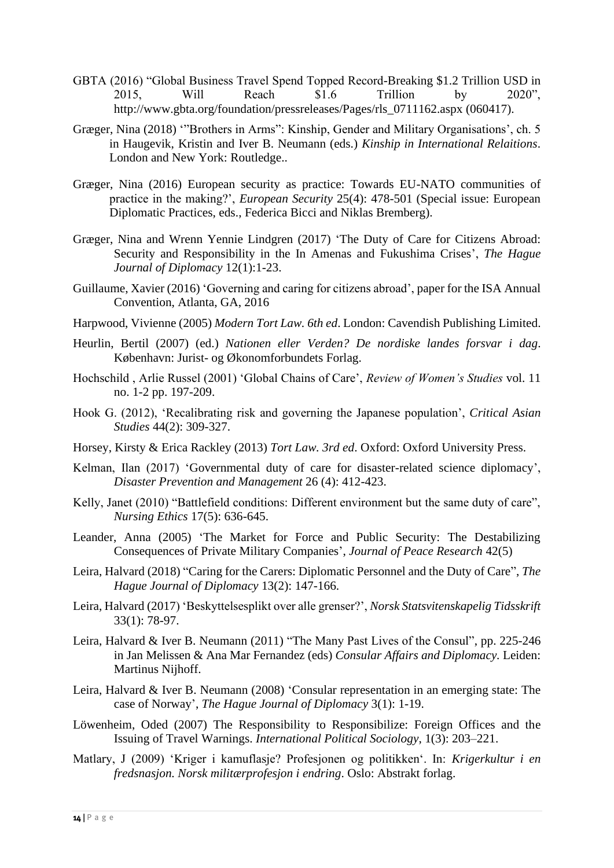- GBTA (2016) "Global Business Travel Spend Topped Record-Breaking \$1.2 Trillion USD in 2015, Will Reach \$1.6 Trillion by 2020", [http://www.gbta.org/foundation/pressreleases/Pages/rls\\_0711162.aspx](http://www.gbta.org/foundation/pressreleases/Pages/rls_0711162.aspx) (060417).
- Græger, Nina (2018) '"Brothers in Arms": Kinship, Gender and Military Organisations', ch. 5 in Haugevik, Kristin and Iver B. Neumann (eds.) *Kinship in International Relaitions*. London and New York: Routledge..
- Græger, Nina (2016) European security as practice: Towards EU-NATO communities of practice in the making?', *European Security* 25(4): 478-501 (Special issue: European Diplomatic Practices, eds., Federica Bicci and Niklas Bremberg).
- Græger, Nina and Wrenn Yennie Lindgren (2017) 'The Duty of Care for Citizens Abroad: Security and Responsibility in the In Amenas and Fukushima Crises', *The Hague Journal of Diplomacy* 12(1):1-23.
- Guillaume, Xavier (2016) 'Governing and caring for citizens abroad', paper for the ISA Annual Convention, Atlanta, GA, 2016
- Harpwood, Vivienne (2005) *Modern Tort Law. 6th ed*. London: Cavendish Publishing Limited.
- Heurlin, Bertil (2007) (ed.) *Nationen eller Verden? De nordiske landes forsvar i dag*. København: Jurist- og Økonomforbundets Forlag.
- Hochschild , Arlie Russel (2001) 'Global Chains of Care', *Review of Women's Studies* vol. 11 no. 1-2 pp. 197-209.
- Hook G. (2012), 'Recalibrating risk and governing the Japanese population', *Critical Asian Studies* 44(2): 309-327.
- Horsey, Kirsty & Erica Rackley (2013) *Tort Law. 3rd ed*. Oxford: Oxford University Press.
- Kelman, Ilan (2017) 'Governmental duty of care for disaster-related science diplomacy', *Disaster Prevention and Management* 26 (4): 412-423.
- Kelly, Janet (2010) "Battlefield conditions: Different environment but the same duty of care", *Nursing Ethics* 17(5): 636-645.
- Leander, Anna (2005) 'The Market for Force and Public Security: The Destabilizing Consequences of Private Military Companies', *Journal of Peace Research* 42(5)
- Leira, Halvard (2018) "Caring for the Carers: Diplomatic Personnel and the Duty of Care", *The Hague Journal of Diplomacy* 13(2): 147-166.
- Leira, Halvard (2017) 'Beskyttelsesplikt over alle grenser?', *Norsk Statsvitenskapelig Tidsskrift* 33(1): 78-97.
- Leira, Halvard & Iver B. Neumann (2011) "The Many Past Lives of the Consul", pp. 225-246 in Jan Melissen & Ana Mar Fernandez (eds) *Consular Affairs and Diplomacy.* Leiden: Martinus Nijhoff.
- Leira, Halvard & Iver B. Neumann (2008) 'Consular representation in an emerging state: The case of Norway', *The Hague Journal of Diplomacy* 3(1): 1-19.
- Löwenheim, Oded (2007) The Responsibility to Responsibilize: Foreign Offices and the Issuing of Travel Warnings. *International Political Sociology*, 1(3): 203–221.
- Matlary, J (2009) 'Kriger i kamuflasje? Profesjonen og politikken'. In: *Krigerkultur i en fredsnasjon. Norsk militærprofesjon i endring*. Oslo: Abstrakt forlag.